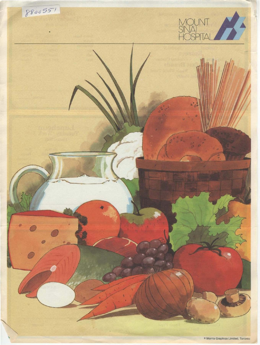